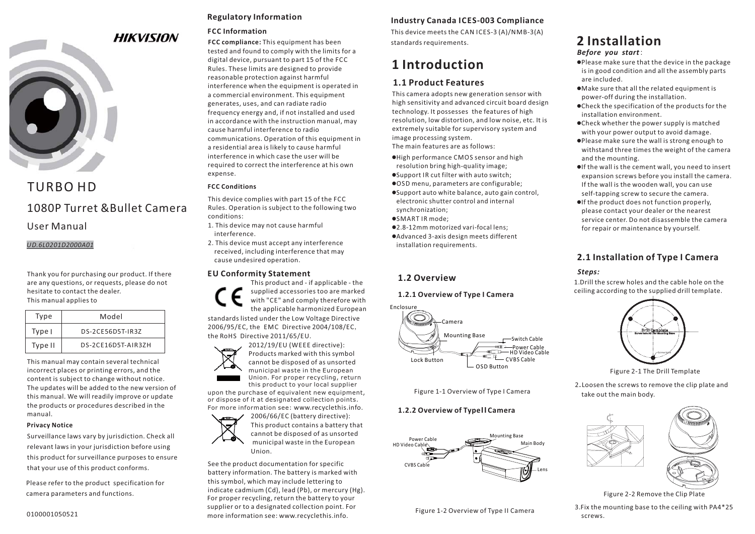

# TURBO HD1080P Turret &Bullet Camera

User Manual

*UD.6L0201D2000A01*

Thank you for purchasing our product. If there are any questions, or requests, please do not hesitate to contact the dealer. This manual applies to

| Type    | Model              |  |  |
|---------|--------------------|--|--|
| Type I  | DS-2CE56D5T-IR3Z   |  |  |
| Type II | DS-2CF16D5T-AIR37H |  |  |

This manual may contain several technical incorrect places or printing errors, and the content is subject to change without notice. The updates will be added to the new version of this manual. We will readily improve or update the products or procedures described in the manual.

#### **Privacy Notice**

Surveillance laws vary by jurisdiction. Check all relevant laws in your jurisdiction before using this product for surveillance purposes to ensure that your use of this product conforms.

Please refer to the product specification for camera parameters and functions.

## **Regulatory Information**

### **FCC Information**

**FCC compliance:** This equipment has been tested and found to comply with the limits for a digital device, pursuant to part 15 of the FCC Rules. These limits are designed to provide reasonable protection against harmful interference when the equipment is operated in a commercial environment. This equipment generates, uses, and can radiate radio frequency energy and, if not installed and used in accordance with the instruction manual, may cause harmful interference to radiocommunications. Operation of this equipment in a residential area is likely to cause harmful interference in which case the user will berequired to correct the interference at his own expense.

#### **FCC Conditions**

This device complies with part 15 of the FCC Rules. Operation is subject to the following two conditions:

- 1. This device may not cause harmful interference.
- 2. This device must accept any interference received, including interference that may cause undesired operation.

#### **EU Conformity Statement**

This product and - if applicable - the supplied accessories too are marked with "CE" and comply therefore with the applicable harmonized European standards listed under the Low Voltage Directive

2006/95/EC, the EMC Directive 2004/108/EC, the RoHS Directive 2011/65/EU.



upon the purchase of equivalent new equipment, or dispose of it at designated collection points. this product to your local supplier



See the product documentation for specific battery information. The battery is marked with this symbol, which may include lettering to indicate cadmium (Cd), lead (Pb), or mercury (Hg). For proper recycling, return the battery to your supplier or to a designated collection point. For more information see: www.recyclethis.info.

# **Industry Canada ICES-003 Compliance**

This device meets the CAN ICES-3 (A)/NMB-3(A) standards requirements.

# **1 Introduction**

# **1.1 Product Features**

This camera adopts new generation sensor with high sensitivity and advanced circuit board design technology. It possesses the features of high resolution, low distortion, and low noise, etc. It is extremely suitable for supervisory system and image processing system. The main features are as follows:

- -High performance CMOS sensor and high resolution bring high-quality image;
- -Support IR cut filter with auto switch;
- -OSD menu, parameters are configurable; -Support auto white balance, auto gain control, electronic shutter control and internal synchronization;
- -SMART IR mode;
- -2.8-12mm motorized vari-focal lens;
- -Advanced 3-axis design meets different installation requirements.

# **1.2 Overview**

## **1.2.1 Overview of Type I Camera**



Figure 1-1 Overview of Type I Camera

# **1.2.2 Overview of Type | Camera**



Figure 1-2 Overview of Type II Camera

# **2 Installation**

*Before you start*:

- $\bullet$ Please make sure that the device in the package is in good condition and all the assembly parts are included.
- $\bullet$  Make sure that all the related equipment is power-off during the installation.
- $\bullet$  Check the specification of the products for the installation environment.
- $\bullet$  Check whether the power supply is matched with your power output to avoid damage.
- -Please make sure the wall is strong enough to withstand three times the weight of the camera and the mounting.
- -If the wall is the cement wall, you need to insert expansion screws before you install the camera. If the wall is the wooden wall, you can use self-tapping screw to secure the camera.
- -If the product does not function properly, please contact your dealer or the nearest service center. Do not disassemble the camerafor repair or maintenance by yourself.

# **2.1 Installation of Type Camera I**

## *Steps:*

1.Drill the screw holes and the cable hole on the ceiling according to the supplied drill template.



Figure 2-1 The Drill Template

2. Loosen the screws to remove the clip plate and take out the main body.



Figure 2-2 Remove the Clip Plate

3.Fix the mounting base to the ceiling with PA4\*25 screws.